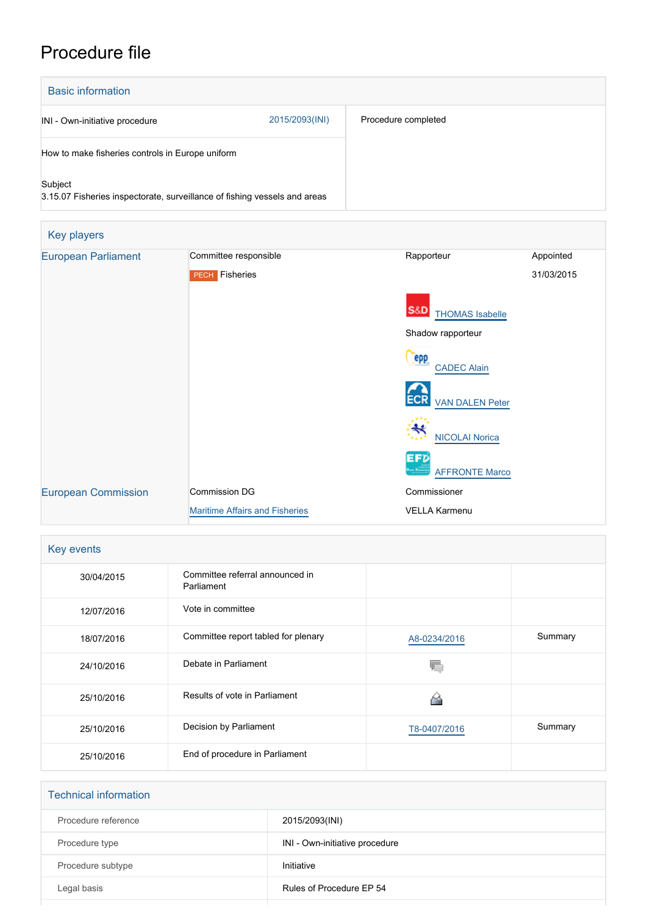## Procedure file



| Key events |                                               |              |         |
|------------|-----------------------------------------------|--------------|---------|
| 30/04/2015 | Committee referral announced in<br>Parliament |              |         |
| 12/07/2016 | Vote in committee                             |              |         |
| 18/07/2016 | Committee report tabled for plenary           | A8-0234/2016 | Summary |
| 24/10/2016 | Debate in Parliament                          |              |         |
| 25/10/2016 | Results of vote in Parliament                 |              |         |
| 25/10/2016 | Decision by Parliament                        | T8-0407/2016 | Summary |
| 25/10/2016 | End of procedure in Parliament                |              |         |

| <b>Technical information</b> |                                |  |  |  |
|------------------------------|--------------------------------|--|--|--|
| Procedure reference          | 2015/2093(INI)                 |  |  |  |
| Procedure type               | INI - Own-initiative procedure |  |  |  |
| Procedure subtype            | Initiative                     |  |  |  |
| Legal basis                  | Rules of Procedure EP 54       |  |  |  |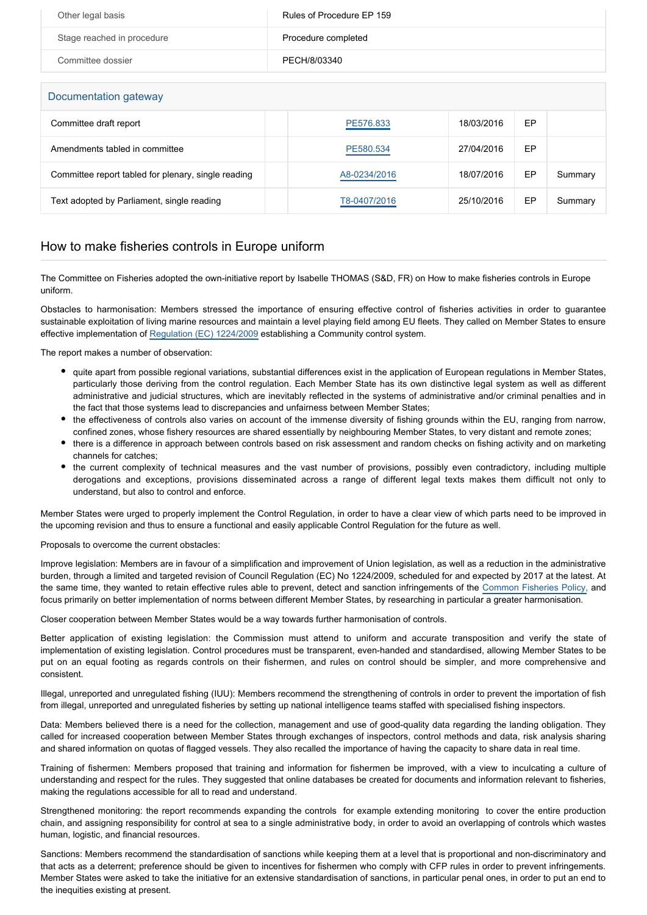| Other legal basis          | Rules of Procedure EP 159 |
|----------------------------|---------------------------|
| Stage reached in procedure | Procedure completed       |
| Committee dossier          | PECH/8/03340              |

Documentation gateway

| Documentation gateway                               |              |            |    |         |  |  |
|-----------------------------------------------------|--------------|------------|----|---------|--|--|
| Committee draft report                              | PE576.833    | 18/03/2016 | EP |         |  |  |
| Amendments tabled in committee                      | PE580.534    | 27/04/2016 | EP |         |  |  |
| Committee report tabled for plenary, single reading | A8-0234/2016 | 18/07/2016 | EP | Summary |  |  |
| Text adopted by Parliament, single reading          | T8-0407/2016 | 25/10/2016 | EP | Summary |  |  |

## How to make fisheries controls in Europe uniform

The Committee on Fisheries adopted the own-initiative report by Isabelle THOMAS (S&D, FR) on How to make fisheries controls in Europe uniform.

Obstacles to harmonisation: Members stressed the importance of ensuring effective control of fisheries activities in order to guarantee sustainable exploitation of living marine resources and maintain a level playing field among EU fleets. They called on Member States to ensure effective implementation of [Regulation \(EC\) 1224/2009](http://www.europarl.europa.eu/oeil/popups/ficheprocedure.do?reference=2008/0216(CNS)&l=en) establishing a Community control system.

The report makes a number of observation:

- quite apart from possible regional variations, substantial differences exist in the application of European regulations in Member States, particularly those deriving from the control regulation. Each Member State has its own distinctive legal system as well as different administrative and judicial structures, which are inevitably reflected in the systems of administrative and/or criminal penalties and in the fact that those systems lead to discrepancies and unfairness between Member States;
- the effectiveness of controls also varies on account of the immense diversity of fishing grounds within the EU, ranging from narrow, confined zones, whose fishery resources are shared essentially by neighbouring Member States, to very distant and remote zones;
- there is a difference in approach between controls based on risk assessment and random checks on fishing activity and on marketing channels for catches;
- the current complexity of technical measures and the vast number of provisions, possibly even contradictory, including multiple derogations and exceptions, provisions disseminated across a range of different legal texts makes them difficult not only to understand, but also to control and enforce.

Member States were urged to properly implement the Control Regulation, in order to have a clear view of which parts need to be improved in the upcoming revision and thus to ensure a functional and easily applicable Control Regulation for the future as well.

## Proposals to overcome the current obstacles:

Improve legislation: Members are in favour of a simplification and improvement of Union legislation, as well as a reduction in the administrative burden, through a limited and targeted revision of Council Regulation (EC) No 1224/2009, scheduled for and expected by 2017 at the latest. At the same time, they wanted to retain effective rules able to prevent, detect and sanction infringements of the [Common Fisheries Policy,](http://www.europarl.europa.eu/oeil/popups/ficheprocedure.do?reference=2011/0195(COD)&l=en) and focus primarily on better implementation of norms between different Member States, by researching in particular a greater harmonisation.

Closer cooperation between Member States would be a way towards further harmonisation of controls.

Better application of existing legislation: the Commission must attend to uniform and accurate transposition and verify the state of implementation of existing legislation. Control procedures must be transparent, even-handed and standardised, allowing Member States to be put on an equal footing as regards controls on their fishermen, and rules on control should be simpler, and more comprehensive and consistent.

Illegal, unreported and unregulated fishing (IUU): Members recommend the strengthening of controls in order to prevent the importation of fish from illegal, unreported and unregulated fisheries by setting up national intelligence teams staffed with specialised fishing inspectors.

Data: Members believed there is a need for the collection, management and use of good-quality data regarding the landing obligation. They called for increased cooperation between Member States through exchanges of inspectors, control methods and data, risk analysis sharing and shared information on quotas of flagged vessels. They also recalled the importance of having the capacity to share data in real time.

Training of fishermen: Members proposed that training and information for fishermen be improved, with a view to inculcating a culture of understanding and respect for the rules. They suggested that online databases be created for documents and information relevant to fisheries, making the regulations accessible for all to read and understand.

Strengthened monitoring: the report recommends expanding the controls for example extending monitoring to cover the entire production chain, and assigning responsibility for control at sea to a single administrative body, in order to avoid an overlapping of controls which wastes human, logistic, and financial resources.

Sanctions: Members recommend the standardisation of sanctions while keeping them at a level that is proportional and non-discriminatory and that acts as a deterrent; preference should be given to incentives for fishermen who comply with CFP rules in order to prevent infringements. Member States were asked to take the initiative for an extensive standardisation of sanctions, in particular penal ones, in order to put an end to the inequities existing at present.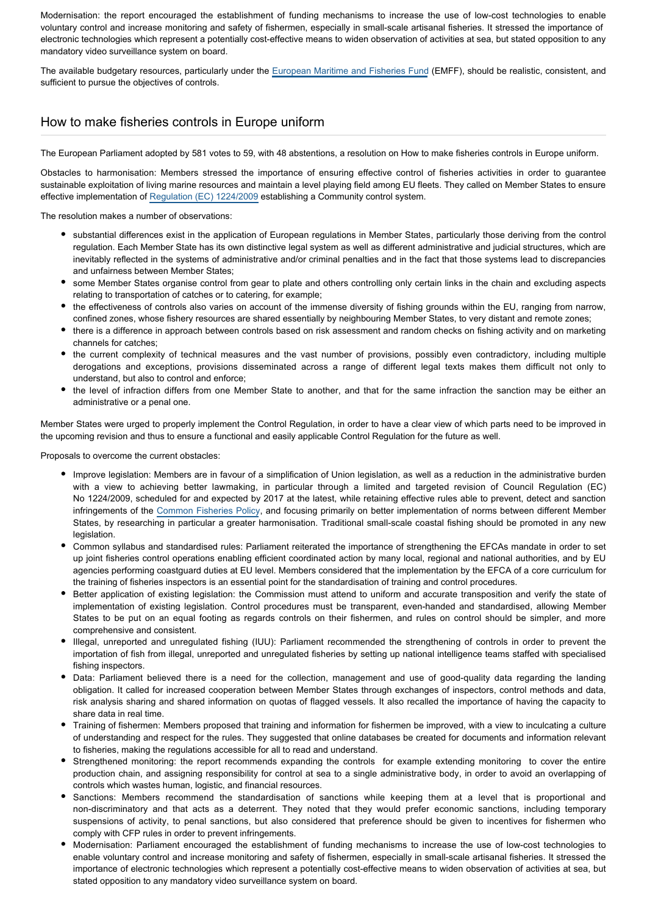Modernisation: the report encouraged the establishment of funding mechanisms to increase the use of low-cost technologies to enable voluntary control and increase monitoring and safety of fishermen, especially in small-scale artisanal fisheries. It stressed the importance of electronic technologies which represent a potentially cost-effective means to widen observation of activities at sea, but stated opposition to any mandatory video surveillance system on board.

The available budgetary resources, particularly under the [European Maritime and Fisheries Fund](http://www.europarl.europa.eu/oeil/popups/ficheprocedure.do?reference=2011/0380(COD)&l=en) (EMFF), should be realistic, consistent, and sufficient to pursue the objectives of controls.

## How to make fisheries controls in Europe uniform

The European Parliament adopted by 581 votes to 59, with 48 abstentions, a resolution on How to make fisheries controls in Europe uniform.

Obstacles to harmonisation: Members stressed the importance of ensuring effective control of fisheries activities in order to guarantee sustainable exploitation of living marine resources and maintain a level playing field among EU fleets. They called on Member States to ensure effective implementation of [Regulation \(EC\) 1224/2009](http://www.europarl.europa.eu/oeil/popups/ficheprocedure.do?reference=2008/0216(CNS)&l=en) establishing a Community control system.

The resolution makes a number of observations:

- substantial differences exist in the application of European regulations in Member States, particularly those deriving from the control regulation. Each Member State has its own distinctive legal system as well as different administrative and judicial structures, which are inevitably reflected in the systems of administrative and/or criminal penalties and in the fact that those systems lead to discrepancies and unfairness between Member States;
- some Member States organise control from gear to plate and others controlling only certain links in the chain and excluding aspects relating to transportation of catches or to catering, for example;
- the effectiveness of controls also varies on account of the immense diversity of fishing grounds within the EU, ranging from narrow, confined zones, whose fishery resources are shared essentially by neighbouring Member States, to very distant and remote zones;
- there is a difference in approach between controls based on risk assessment and random checks on fishing activity and on marketing channels for catches;
- the current complexity of technical measures and the vast number of provisions, possibly even contradictory, including multiple derogations and exceptions, provisions disseminated across a range of different legal texts makes them difficult not only to understand, but also to control and enforce;
- the level of infraction differs from one Member State to another, and that for the same infraction the sanction may be either an administrative or a penal one.

Member States were urged to properly implement the Control Regulation, in order to have a clear view of which parts need to be improved in the upcoming revision and thus to ensure a functional and easily applicable Control Regulation for the future as well.

Proposals to overcome the current obstacles:

- Improve legislation: Members are in favour of a simplification of Union legislation, as well as a reduction in the administrative burden with a view to achieving better lawmaking, in particular through a limited and targeted revision of Council Regulation (EC) No 1224/2009, scheduled for and expected by 2017 at the latest, while retaining effective rules able to prevent, detect and sanction infringements of the [Common Fisheries Policy](http://www.europarl.europa.eu/oeil/popups/ficheprocedure.do?reference=2011/0195(COD)&l=en), and focusing primarily on better implementation of norms between different Member States, by researching in particular a greater harmonisation. Traditional small-scale coastal fishing should be promoted in any new **legislation**
- Common syllabus and standardised rules: Parliament reiterated the importance of strengthening the EFCAs mandate in order to set up joint fisheries control operations enabling efficient coordinated action by many local, regional and national authorities, and by EU agencies performing coastguard duties at EU level. Members considered that the implementation by the EFCA of a core curriculum for the training of fisheries inspectors is an essential point for the standardisation of training and control procedures.
- Better application of existing legislation: the Commission must attend to uniform and accurate transposition and verify the state of implementation of existing legislation. Control procedures must be transparent, even-handed and standardised, allowing Member States to be put on an equal footing as regards controls on their fishermen, and rules on control should be simpler, and more comprehensive and consistent.
- Illegal, unreported and unregulated fishing (IUU): Parliament recommended the strengthening of controls in order to prevent the importation of fish from illegal, unreported and unregulated fisheries by setting up national intelligence teams staffed with specialised fishing inspectors.
- Data: Parliament believed there is a need for the collection, management and use of good-quality data regarding the landing obligation. It called for increased cooperation between Member States through exchanges of inspectors, control methods and data, risk analysis sharing and shared information on quotas of flagged vessels. It also recalled the importance of having the capacity to share data in real time.
- Training of fishermen: Members proposed that training and information for fishermen be improved, with a view to inculcating a culture of understanding and respect for the rules. They suggested that online databases be created for documents and information relevant to fisheries, making the regulations accessible for all to read and understand.
- Strengthened monitoring: the report recommends expanding the controls for example extending monitoring to cover the entire production chain, and assigning responsibility for control at sea to a single administrative body, in order to avoid an overlapping of controls which wastes human, logistic, and financial resources.
- Sanctions: Members recommend the standardisation of sanctions while keeping them at a level that is proportional and non-discriminatory and that acts as a deterrent. They noted that they would prefer economic sanctions, including temporary suspensions of activity, to penal sanctions, but also considered that preference should be given to incentives for fishermen who comply with CFP rules in order to prevent infringements.
- Modernisation: Parliament encouraged the establishment of funding mechanisms to increase the use of low-cost technologies to enable voluntary control and increase monitoring and safety of fishermen, especially in small-scale artisanal fisheries. It stressed the importance of electronic technologies which represent a potentially cost-effective means to widen observation of activities at sea, but stated opposition to any mandatory video surveillance system on board.